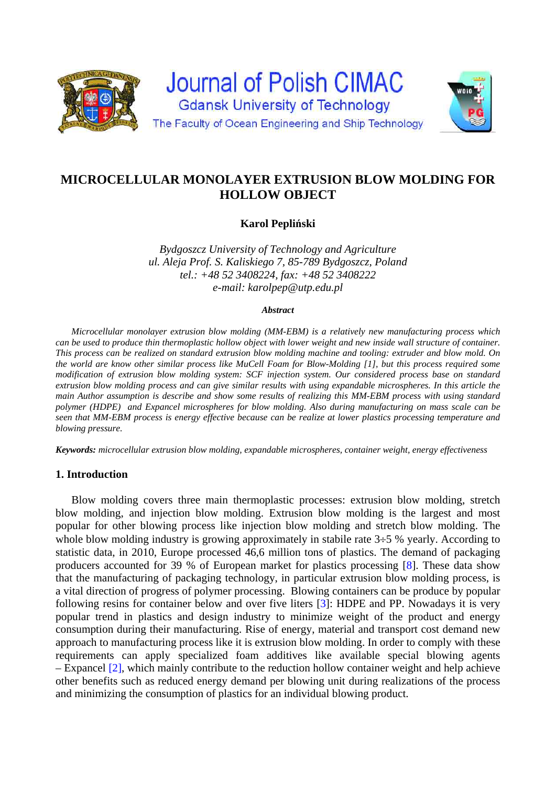

# **MICROCELLULAR MONOLAYER EXTRUSION BLOW MOLDING FOR HOLLOW OBJECT**

**Karol Pepliński** 

*Bydgoszcz University of Technology and Agriculture ul. Aleja Prof. S. Kaliskiego 7, 85-789 Bydgoszcz, Poland tel.: +48 52 3408224, fax: +48 52 3408222 e-mail: karolpep@utp.edu.pl* 

#### *Abstract*

*Microcellular monolayer extrusion blow molding (MM-EBM) is a relatively new manufacturing process which can be used to produce thin thermoplastic hollow object with lower weight and new inside wall structure of container. This process can be realized on standard extrusion blow molding machine and tooling: extruder and blow mold. On the world are know other similar process like MuCell Foam for Blow-Molding [1], but this process required some modification of extrusion blow molding system: SCF injection system. Our considered process base on standard extrusion blow molding process and can give similar results with using expandable microspheres. In this article the main Author assumption is describe and show some results of realizing this MM-EBM process with using standard polymer (HDPE) and Expancel microspheres for blow molding. Also during manufacturing on mass scale can be seen that MM-EBM process is energy effective because can be realize at lower plastics processing temperature and blowing pressure.* 

*Keywords: microcellular extrusion blow molding, expandable microspheres, container weight, energy effectiveness* 

## **1. Introduction**

Blow molding covers three main thermoplastic processes: extrusion blow molding, stretch blow molding, and injection blow molding. Extrusion blow molding is the largest and most popular for other blowing process like injection blow molding and stretch blow molding. The whole blow molding industry is growing approximately in stabile rate  $3\div 5$  % yearly. According to statistic data, in 2010, Europe processed 46,6 million tons of plastics. The demand of packaging producers accounted for 39 % of European market for plastics processing [8]. These data show that the manufacturing of packaging technology, in particular extrusion blow molding process, is a vital direction of progress of polymer processing. Blowing containers can be produce by popular following resins for container below and over five liters [3]: HDPE and PP. Nowadays it is very popular trend in plastics and design industry to minimize weight of the product and energy consumption during their manufacturing. Rise of energy, material and transport cost demand new approach to manufacturing process like it is extrusion blow molding. In order to comply with these requirements can apply specialized foam additives like available special blowing agents – Expancel [2], which mainly contribute to the reduction hollow container weight and help achieve other benefits such as reduced energy demand per blowing unit during realizations of the process and minimizing the consumption of plastics for an individual blowing product.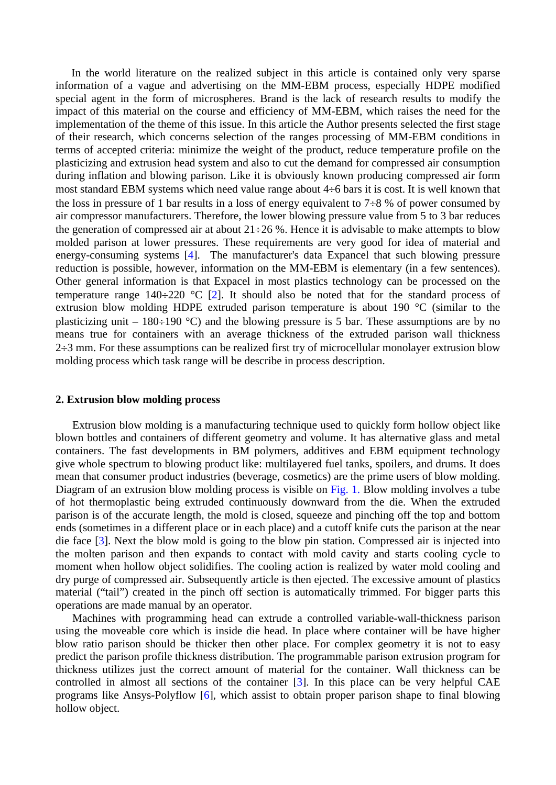In the world literature on the realized subject in this article is contained only very sparse information of a vague and advertising on the MM-EBM process, especially HDPE modified special agent in the form of microspheres. Brand is the lack of research results to modify the impact of this material on the course and efficiency of MM-EBM, which raises the need for the implementation of the theme of this issue. In this article the Author presents selected the first stage of their research, which concerns selection of the ranges processing of MM-EBM conditions in terms of accepted criteria: minimize the weight of the product, reduce temperature profile on the plasticizing and extrusion head system and also to cut the demand for compressed air consumption during inflation and blowing parison. Like it is obviously known producing compressed air form most standard EBM systems which need value range about  $4\div 6$  bars it is cost. It is well known that the loss in pressure of 1 bar results in a loss of energy equivalent to 7 $\div$ 8 % of power consumed by air compressor manufacturers. Therefore, the lower blowing pressure value from 5 to 3 bar reduces the generation of compressed air at about  $21\div 26$  %. Hence it is advisable to make attempts to blow molded parison at lower pressures. These requirements are very good for idea of material and energy-consuming systems [4]. The manufacturer's data Expancel that such blowing pressure reduction is possible, however, information on the MM-EBM is elementary (in a few sentences). Other general information is that Expacel in most plastics technology can be processed on the temperature range  $140\div 220$  °C [2]. It should also be noted that for the standard process of extrusion blow molding HDPE extruded parison temperature is about 190 °C (similar to the plasticizing unit – 180÷190 °C) and the blowing pressure is 5 bar. These assumptions are by no means true for containers with an average thickness of the extruded parison wall thickness  $2\div 3$  mm. For these assumptions can be realized first try of microcellular monolayer extrusion blow molding process which task range will be describe in process description.

#### **2. Extrusion blow molding process**

Extrusion blow molding is a manufacturing technique used to quickly form hollow object like blown bottles and containers of different geometry and volume. It has alternative glass and metal containers. The fast developments in BM polymers, additives and EBM equipment technology give whole spectrum to blowing product like: multilayered fuel tanks, spoilers, and drums. It does mean that consumer product industries (beverage, cosmetics) are the prime users of blow molding. Diagram of an extrusion blow molding process is visible on Fig. 1. Blow molding involves a tube of hot thermoplastic being extruded continuously downward from the die. When the extruded parison is of the accurate length, the mold is closed, squeeze and pinching off the top and bottom ends (sometimes in a different place or in each place) and a cutoff knife cuts the parison at the near die face [3]. Next the blow mold is going to the blow pin station. Compressed air is injected into the molten parison and then expands to contact with mold cavity and starts cooling cycle to moment when hollow object solidifies. The cooling action is realized by water mold cooling and dry purge of compressed air. Subsequently article is then ejected. The excessive amount of plastics material ("tail") created in the pinch off section is automatically trimmed. For bigger parts this operations are made manual by an operator.

Machines with programming head can extrude a controlled variable-wall-thickness parison using the moveable core which is inside die head. In place where container will be have higher blow ratio parison should be thicker then other place. For complex geometry it is not to easy predict the parison profile thickness distribution. The programmable parison extrusion program for thickness utilizes just the correct amount of material for the container. Wall thickness can be controlled in almost all sections of the container [3]. In this place can be very helpful CAE programs like Ansys-Polyflow [6], which assist to obtain proper parison shape to final blowing hollow object.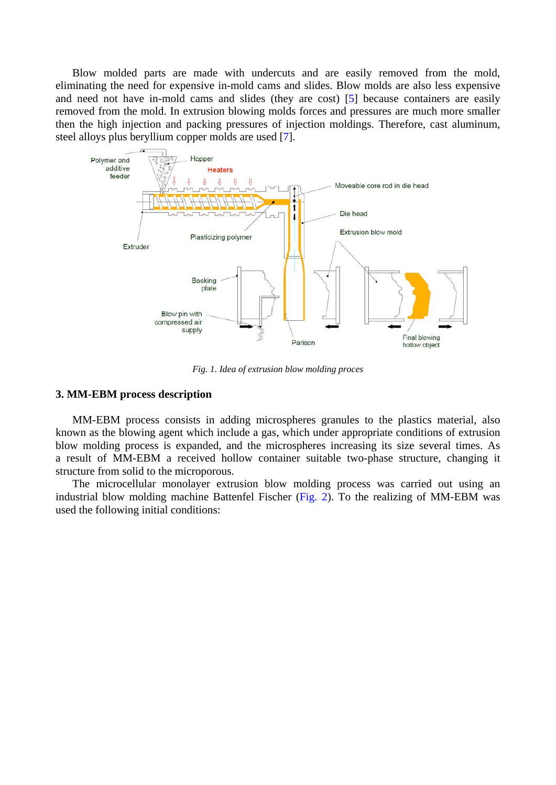Blow molded parts are made with undercuts and are easily removed from the mold, eliminating the need for expensive in-mold cams and slides. Blow molds are also less expensive and need not have in-mold cams and slides (they are cost) [5] because containers are easily removed from the mold. In extrusion blowing molds forces and pressures are much more smaller then the high injection and packing pressures of injection moldings. Therefore, cast aluminum, steel alloys plus beryllium copper molds are used [7].



*Fig. 1. Idea of extrusion blow molding proces* 

## **3. MM-EBM process description**

MM-EBM process consists in adding microspheres granules to the plastics material, also known as the blowing agent which include a gas, which under appropriate conditions of extrusion blow molding process is expanded, and the microspheres increasing its size several times. As a result of MM-EBM a received hollow container suitable two-phase structure, changing it structure from solid to the microporous.

The microcellular monolayer extrusion blow molding process was carried out using an industrial blow molding machine Battenfel Fischer (Fig. 2). To the realizing of MM-EBM was used the following initial conditions: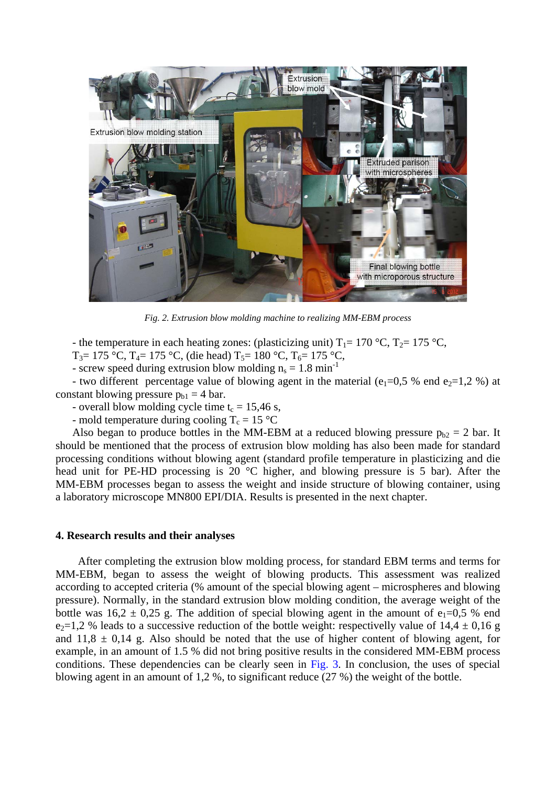

*Fig. 2. Extrusion blow molding machine to realizing MM-EBM process* 

- the temperature in each heating zones: (plasticizing unit)  $T_1 = 170$  °C,  $T_2 = 175$  °C,

T<sub>3</sub>= 175 °C, T<sub>4</sub>= 175 °C, (die head) T<sub>5</sub>= 180 °C, T<sub>6</sub>= 175 °C,

- screw speed during extrusion blow molding  $n_s = 1.8 \text{ min}^{-1}$ 

- two different percentage value of blowing agent in the material (e<sub>1</sub>=0,5 % end e<sub>2</sub>=1,2 %) at constant blowing pressure  $p_{b1} = 4$  bar.

- overall blow molding cycle time  $t_c = 15,46$  s,

- mold temperature during cooling  $T_c = 15 \text{ °C}$ 

Also began to produce bottles in the MM-EBM at a reduced blowing pressure  $p_{b2} = 2$  bar. It should be mentioned that the process of extrusion blow molding has also been made for standard processing conditions without blowing agent (standard profile temperature in plasticizing and die head unit for PE-HD processing is 20 °C higher, and blowing pressure is 5 bar). After the MM-EBM processes began to assess the weight and inside structure of blowing container, using a laboratory microscope MN800 EPI/DIA. Results is presented in the next chapter.

#### **4. Research results and their analyses**

After completing the extrusion blow molding process, for standard EBM terms and terms for MM-EBM, began to assess the weight of blowing products. This assessment was realized according to accepted criteria (% amount of the special blowing agent – microspheres and blowing pressure). Normally, in the standard extrusion blow molding condition, the average weight of the bottle was  $16,2 \pm 0.25$  g. The addition of special blowing agent in the amount of e<sub>1</sub>=0,5 % end  $e_2=1,2$  % leads to a successive reduction of the bottle weight: respectivelly value of  $14,4 \pm 0,16$  g and  $11.8 \pm 0.14$  g. Also should be noted that the use of higher content of blowing agent, for example, in an amount of 1.5 % did not bring positive results in the considered MM-EBM process conditions. These dependencies can be clearly seen in Fig. 3. In conclusion, the uses of special blowing agent in an amount of 1,2 %, to significant reduce (27 %) the weight of the bottle.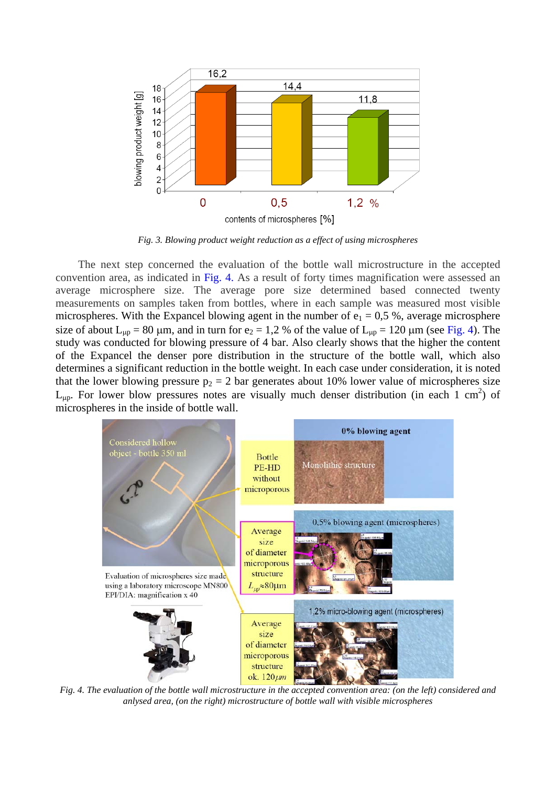

*Fig. 3. Blowing product weight reduction as a effect of using microspheres* 

The next step concerned the evaluation of the bottle wall microstructure in the accepted convention area, as indicated in Fig. 4. As a result of forty times magnification were assessed an average microsphere size. The average pore size determined based connected twenty measurements on samples taken from bottles, where in each sample was measured most visible microspheres. With the Expancel blowing agent in the number of  $e_1 = 0.5$ %, average microsphere size of about  $L_{\mu p} = 80 \mu m$ , and in turn for e<sub>2</sub> = 1,2 % of the value of  $L_{\mu p} = 120 \mu m$  (see Fig. 4). The study was conducted for blowing pressure of 4 bar. Also clearly shows that the higher the content of the Expancel the denser pore distribution in the structure of the bottle wall, which also determines a significant reduction in the bottle weight. In each case under consideration, it is noted that the lower blowing pressure  $p_2 = 2$  bar generates about 10% lower value of microspheres size  $L_{\mu p}$ . For lower blow pressures notes are visually much denser distribution (in each 1 cm<sup>2</sup>) of microspheres in the inside of bottle wall.



*Fig. 4. The evaluation of the bottle wall microstructure in the accepted convention area: (on the left) considered and anlysed area, (on the right) microstructure of bottle wall with visible microspheres*